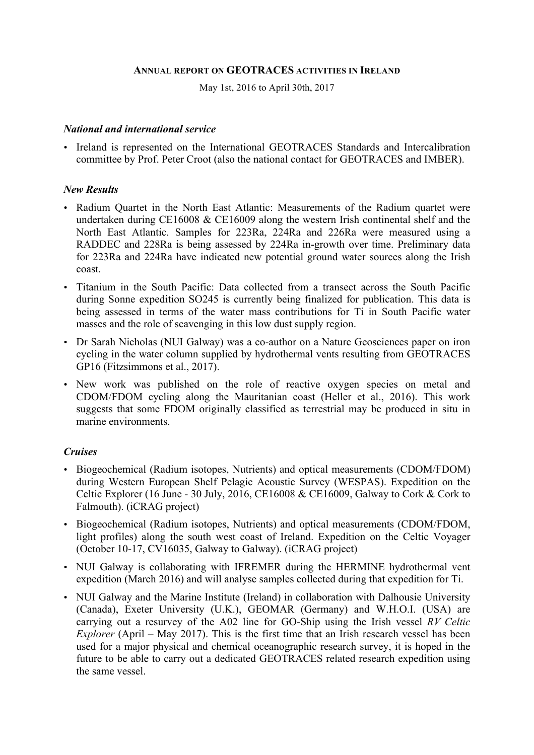#### **ANNUAL REPORT ON GEOTRACES ACTIVITIES IN IRELAND**

May 1st, 2016 to April 30th, 2017

#### *National and international service*

• Ireland is represented on the International GEOTRACES Standards and Intercalibration committee by Prof. Peter Croot (also the national contact for GEOTRACES and IMBER).

#### *New Results*

- Radium Quartet in the North East Atlantic: Measurements of the Radium quartet were undertaken during CE16008 & CE16009 along the western Irish continental shelf and the North East Atlantic. Samples for 223Ra, 224Ra and 226Ra were measured using a RADDEC and 228Ra is being assessed by 224Ra in-growth over time. Preliminary data for 223Ra and 224Ra have indicated new potential ground water sources along the Irish coast.
- Titanium in the South Pacific: Data collected from a transect across the South Pacific during Sonne expedition SO245 is currently being finalized for publication. This data is being assessed in terms of the water mass contributions for Ti in South Pacific water masses and the role of scavenging in this low dust supply region.
- Dr Sarah Nicholas (NUI Galway) was a co-author on a Nature Geosciences paper on iron cycling in the water column supplied by hydrothermal vents resulting from GEOTRACES GP16 (Fitzsimmons et al., 2017).
- New work was published on the role of reactive oxygen species on metal and CDOM/FDOM cycling along the Mauritanian coast (Heller et al., 2016). This work suggests that some FDOM originally classified as terrestrial may be produced in situ in marine environments.

## *Cruises*

- Biogeochemical (Radium isotopes, Nutrients) and optical measurements (CDOM/FDOM) during Western European Shelf Pelagic Acoustic Survey (WESPAS). Expedition on the Celtic Explorer (16 June - 30 July, 2016, CE16008 & CE16009, Galway to Cork & Cork to Falmouth). (iCRAG project)
- Biogeochemical (Radium isotopes, Nutrients) and optical measurements (CDOM/FDOM, light profiles) along the south west coast of Ireland. Expedition on the Celtic Voyager (October 10-17, CV16035, Galway to Galway). (iCRAG project)
- NUI Galway is collaborating with IFREMER during the HERMINE hydrothermal vent expedition (March 2016) and will analyse samples collected during that expedition for Ti.
- NUI Galway and the Marine Institute (Ireland) in collaboration with Dalhousie University (Canada), Exeter University (U.K.), GEOMAR (Germany) and W.H.O.I. (USA) are carrying out a resurvey of the A02 line for GO-Ship using the Irish vessel *RV Celtic Explorer* (April – May 2017). This is the first time that an Irish research vessel has been used for a major physical and chemical oceanographic research survey, it is hoped in the future to be able to carry out a dedicated GEOTRACES related research expedition using the same vessel.